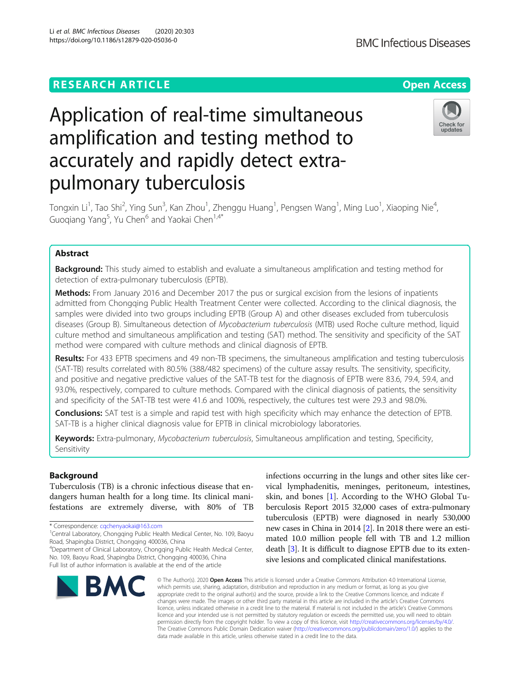## **RESEARCH ARTICLE Example 2014 12:30 The Contract of Contract ACCESS**

# Application of real-time simultaneous amplification and testing method to accurately and rapidly detect extrapulmonary tuberculosis

Tongxin Li<sup>1</sup>, Tao Shi<sup>2</sup>, Ying Sun<sup>3</sup>, Kan Zhou<sup>1</sup>, Zhenggu Huang<sup>1</sup>, Pengsen Wang<sup>1</sup>, Ming Luo<sup>1</sup>, Xiaoping Nie<sup>4</sup> , Guoqiang Yang<sup>5</sup>, Yu Chen<sup>6</sup> and Yaokai Chen<sup>1,4\*</sup>

## Abstract

**Background:** This study aimed to establish and evaluate a simultaneous amplification and testing method for detection of extra-pulmonary tuberculosis (EPTB).

Methods: From January 2016 and December 2017 the pus or surgical excision from the lesions of inpatients admitted from Chongqing Public Health Treatment Center were collected. According to the clinical diagnosis, the samples were divided into two groups including EPTB (Group A) and other diseases excluded from tuberculosis diseases (Group B). Simultaneous detection of Mycobacterium tuberculosis (MTB) used Roche culture method, liquid culture method and simultaneous amplification and testing (SAT) method. The sensitivity and specificity of the SAT method were compared with culture methods and clinical diagnosis of EPTB.

Results: For 433 EPTB specimens and 49 non-TB specimens, the simultaneous amplification and testing tuberculosis (SAT-TB) results correlated with 80.5% (388/482 specimens) of the culture assay results. The sensitivity, specificity, and positive and negative predictive values of the SAT-TB test for the diagnosis of EPTB were 83.6, 79.4, 59.4, and 93.0%, respectively, compared to culture methods. Compared with the clinical diagnosis of patients, the sensitivity and specificity of the SAT-TB test were 41.6 and 100%, respectively, the cultures test were 29.3 and 98.0%.

Conclusions: SAT test is a simple and rapid test with high specificity which may enhance the detection of EPTB. SAT-TB is a higher clinical diagnosis value for EPTB in clinical microbiology laboratories.

Keywords: Extra-pulmonary, Mycobacterium tuberculosis, Simultaneous amplification and testing, Specificity, Sensitivity

## Background

Tuberculosis (TB) is a chronic infectious disease that endangers human health for a long time. Its clinical manifestations are extremely diverse, with 80% of TB

\* Correspondence: [cqchenyaokai@163.com](mailto:cqchenyaokai@163.com) <sup>1</sup>

4 Department of Clinical Laboratory, Chongqing Public Health Medical Center, No. 109, Baoyu Road, Shapingba District, Chongqing 400036, China Full list of author information is available at the end of the article

infections occurring in the lungs and other sites like cervical lymphadenitis, meninges, peritoneum, intestines, skin, and bones [\[1](#page-4-0)]. According to the WHO Global Tuberculosis Report 2015 32,000 cases of extra-pulmonary tuberculosis (EPTB) were diagnosed in nearly 530,000 new cases in China in 2014 [[2\]](#page-4-0). In 2018 there were an estimated 10.0 million people fell with TB and 1.2 million death [[3\]](#page-4-0). It is difficult to diagnose EPTB due to its extensive lesions and complicated clinical manifestations.

© The Author(s), 2020 **Open Access** This article is licensed under a Creative Commons Attribution 4.0 International License, which permits use, sharing, adaptation, distribution and reproduction in any medium or format, as long as you give appropriate credit to the original author(s) and the source, provide a link to the Creative Commons licence, and indicate if changes were made. The images or other third party material in this article are included in the article's Creative Commons licence, unless indicated otherwise in a credit line to the material. If material is not included in the article's Creative Commons licence and your intended use is not permitted by statutory regulation or exceeds the permitted use, you will need to obtain permission directly from the copyright holder. To view a copy of this licence, visit [http://creativecommons.org/licenses/by/4.0/.](http://creativecommons.org/licenses/by/4.0/) The Creative Commons Public Domain Dedication waiver [\(http://creativecommons.org/publicdomain/zero/1.0/](http://creativecommons.org/publicdomain/zero/1.0/)) applies to the data made available in this article, unless otherwise stated in a credit line to the data.









<sup>&</sup>lt;sup>1</sup>Central Laboratory, Chongqing Public Health Medical Center, No. 109, Baoyu Road, Shapingba District, Chongqing 400036, China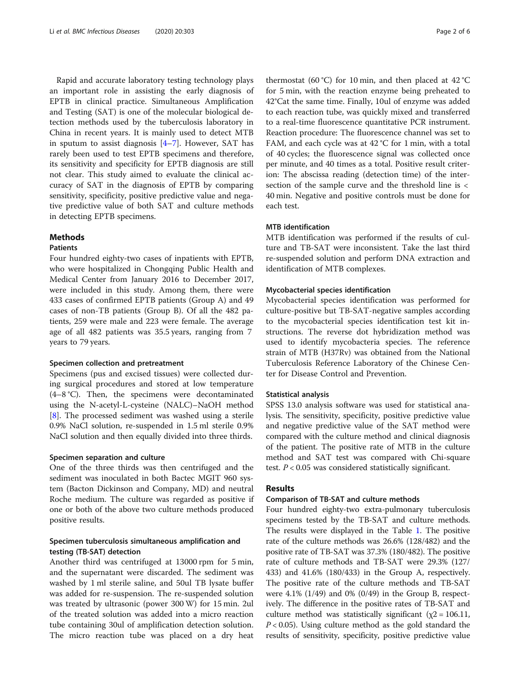Rapid and accurate laboratory testing technology plays an important role in assisting the early diagnosis of EPTB in clinical practice. Simultaneous Amplification and Testing (SAT) is one of the molecular biological detection methods used by the tuberculosis laboratory in China in recent years. It is mainly used to detect MTB in sputum to assist diagnosis [[4](#page-4-0)–[7](#page-5-0)]. However, SAT has rarely been used to test EPTB specimens and therefore, its sensitivity and specificity for EPTB diagnosis are still not clear. This study aimed to evaluate the clinical accuracy of SAT in the diagnosis of EPTB by comparing sensitivity, specificity, positive predictive value and negative predictive value of both SAT and culture methods in detecting EPTB specimens.

## Methods

#### **Patients**

Four hundred eighty-two cases of inpatients with EPTB, who were hospitalized in Chongqing Public Health and Medical Center from January 2016 to December 2017, were included in this study. Among them, there were 433 cases of confirmed EPTB patients (Group A) and 49 cases of non-TB patients (Group B). Of all the 482 patients, 259 were male and 223 were female. The average age of all 482 patients was 35.5 years, ranging from 7 years to 79 years.

#### Specimen collection and pretreatment

Specimens (pus and excised tissues) were collected during surgical procedures and stored at low temperature (4–8 °C). Then, the specimens were decontaminated using the N-acetyl-L-cysteine (NALC)–NaOH method [[8\]](#page-5-0). The processed sediment was washed using a sterile 0.9% NaCl solution, re-suspended in 1.5 ml sterile 0.9% NaCl solution and then equally divided into three thirds.

## Specimen separation and culture

One of the three thirds was then centrifuged and the sediment was inoculated in both Bactec MGIT 960 system (Bacton Dickinson and Company, MD) and neutral Roche medium. The culture was regarded as positive if one or both of the above two culture methods produced positive results.

## Specimen tuberculosis simultaneous amplification and testing (TB-SAT) detection

Another third was centrifuged at 13000 rpm for 5 min, and the supernatant were discarded. The sediment was washed by 1 ml sterile saline, and 50ul TB lysate buffer was added for re-suspension. The re-suspended solution was treated by ultrasonic (power 300 W) for 15 min. 2ul of the treated solution was added into a micro reaction tube containing 30ul of amplification detection solution. The micro reaction tube was placed on a dry heat

thermostat (60 °C) for 10 min, and then placed at  $42$  °C for 5 min, with the reaction enzyme being preheated to 42°Cat the same time. Finally, 10ul of enzyme was added to each reaction tube, was quickly mixed and transferred to a real-time fluorescence quantitative PCR instrument. Reaction procedure: The fluorescence channel was set to FAM, and each cycle was at 42 °C for 1 min, with a total of 40 cycles; the fluorescence signal was collected once per minute, and 40 times as a total. Positive result criterion: The abscissa reading (detection time) of the intersection of the sample curve and the threshold line is < 40 min. Negative and positive controls must be done for each test.

## MTB identification

MTB identification was performed if the results of culture and TB-SAT were inconsistent. Take the last third re-suspended solution and perform DNA extraction and identification of MTB complexes.

## Mycobacterial species identification

Mycobacterial species identification was performed for culture-positive but TB-SAT-negative samples according to the mycobacterial species identification test kit instructions. The reverse dot hybridization method was used to identify mycobacteria species. The reference strain of MTB (H37Rv) was obtained from the National Tuberculosis Reference Laboratory of the Chinese Center for Disease Control and Prevention.

## Statistical analysis

SPSS 13.0 analysis software was used for statistical analysis. The sensitivity, specificity, positive predictive value and negative predictive value of the SAT method were compared with the culture method and clinical diagnosis of the patient. The positive rate of MTB in the culture method and SAT test was compared with Chi-square test.  $P < 0.05$  was considered statistically significant.

## Results

## Comparison of TB-SAT and culture methods

Four hundred eighty-two extra-pulmonary tuberculosis specimens tested by the TB-SAT and culture methods. The results were displayed in the Table [1](#page-2-0). The positive rate of the culture methods was 26.6% (128/482) and the positive rate of TB-SAT was 37.3% (180/482). The positive rate of culture methods and TB-SAT were 29.3% (127/ 433) and 41.6% (180/433) in the Group A, respectively. The positive rate of the culture methods and TB-SAT were 4.1% (1/49) and 0% (0/49) in the Group B, respectively. The difference in the positive rates of TB-SAT and culture method was statistically significant ( $\chi$ 2 = 106.11,  $P < 0.05$ ). Using culture method as the gold standard the results of sensitivity, specificity, positive predictive value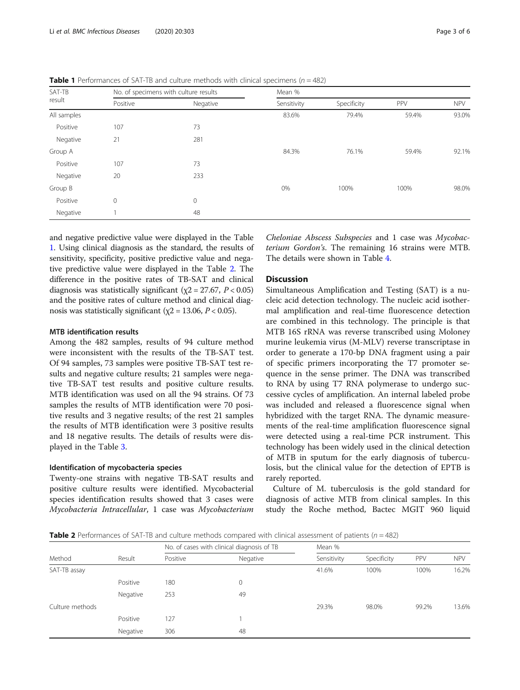| SAT-TB<br>result | No. of specimens with culture results |          | Mean %      |             |       |            |
|------------------|---------------------------------------|----------|-------------|-------------|-------|------------|
|                  | Positive                              | Negative | Sensitivity | Specificity | PPV   | <b>NPV</b> |
| All samples      |                                       |          | 83.6%       | 79.4%       | 59.4% | 93.0%      |
| Positive         | 107                                   | 73       |             |             |       |            |
| Negative         | 21                                    | 281      |             |             |       |            |
| Group A          |                                       |          | 84.3%       | 76.1%       | 59.4% | 92.1%      |
| Positive         | 107                                   | 73       |             |             |       |            |
| Negative         | 20                                    | 233      |             |             |       |            |
| Group B          |                                       |          | 0%          | 100%        | 100%  | 98.0%      |
| Positive         | $\mathbf{0}$                          | 0        |             |             |       |            |
| Negative         |                                       | 48       |             |             |       |            |

<span id="page-2-0"></span>**Table 1** Performances of SAT-TB and culture methods with clinical specimens ( $n = 482$ )

and negative predictive value were displayed in the Table 1. Using clinical diagnosis as the standard, the results of sensitivity, specificity, positive predictive value and negative predictive value were displayed in the Table 2. The difference in the positive rates of TB-SAT and clinical diagnosis was statistically significant ( $\chi$ 2 = 27.67, P < 0.05) and the positive rates of culture method and clinical diagnosis was statistically significant ( $\chi$ 2 = 13.06, P < 0.05).

## MTB identification results

Among the 482 samples, results of 94 culture method were inconsistent with the results of the TB-SAT test. Of 94 samples, 73 samples were positive TB-SAT test results and negative culture results; 21 samples were negative TB-SAT test results and positive culture results. MTB identification was used on all the 94 strains. Of 73 samples the results of MTB identification were 70 positive results and 3 negative results; of the rest 21 samples the results of MTB identification were 3 positive results and 18 negative results. The details of results were displayed in the Table [3](#page-3-0).

#### Identification of mycobacteria species

Twenty-one strains with negative TB-SAT results and positive culture results were identified. Mycobacterial species identification results showed that 3 cases were Mycobacteria Intracellular, 1 case was Mycobacterium Cheloniae Abscess Subspecies and 1 case was Mycobacterium Gordon's. The remaining 16 strains were MTB. The details were shown in Table [4](#page-3-0).

## Discussion

Simultaneous Amplification and Testing (SAT) is a nucleic acid detection technology. The nucleic acid isothermal amplification and real-time fluorescence detection are combined in this technology. The principle is that MTB 16S rRNA was reverse transcribed using Moloney murine leukemia virus (M-MLV) reverse transcriptase in order to generate a 170-bp DNA fragment using a pair of specific primers incorporating the T7 promoter sequence in the sense primer. The DNA was transcribed to RNA by using T7 RNA polymerase to undergo successive cycles of amplification. An internal labeled probe was included and released a fluorescence signal when hybridized with the target RNA. The dynamic measurements of the real-time amplification fluorescence signal were detected using a real-time PCR instrument. This technology has been widely used in the clinical detection of MTB in sputum for the early diagnosis of tuberculosis, but the clinical value for the detection of EPTB is rarely reported.

Culture of M. tuberculosis is the gold standard for diagnosis of active MTB from clinical samples. In this study the Roche method, Bactec MGIT 960 liquid

**Table 2** Performances of SAT-TB and culture methods compared with clinical assessment of patients ( $n = 482$ )

|                 | Result   | No. of cases with clinical diagnosis of TB |          | Mean %      |             |       |            |
|-----------------|----------|--------------------------------------------|----------|-------------|-------------|-------|------------|
| Method          |          | Positive                                   | Negative | Sensitivity | Specificity | PPV   | <b>NPV</b> |
| SAT-TB assay    |          |                                            |          | 41.6%       | 100%        | 100%  | 16.2%      |
|                 | Positive | 180                                        | 0        |             |             |       |            |
|                 | Negative | 253                                        | 49       |             |             |       |            |
| Culture methods |          |                                            |          | 29.3%       | 98.0%       | 99.2% | 13.6%      |
|                 | Positive | 127                                        |          |             |             |       |            |
|                 | Negative | 306                                        | 48       |             |             |       |            |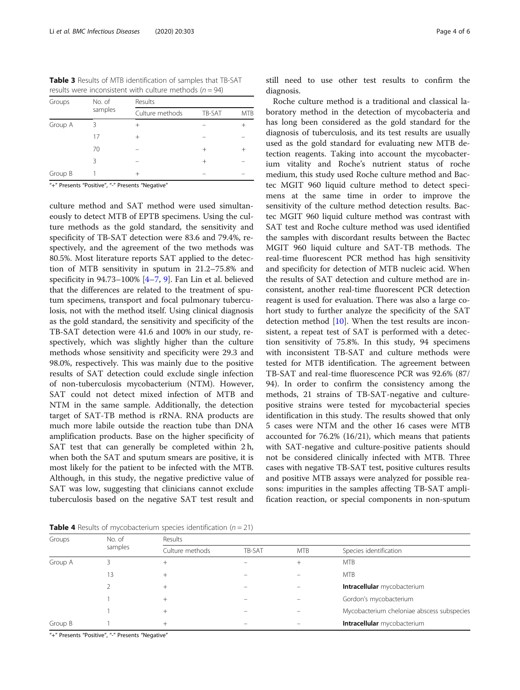<span id="page-3-0"></span>Table 3 Results of MTB identification of samples that TB-SAT results were inconsistent with culture methods ( $n = 94$ )

| Groups  | No. of  | Results         |        |            |  |  |
|---------|---------|-----------------|--------|------------|--|--|
|         | samples | Culture methods | TB-SAT | <b>MTB</b> |  |  |
| Group A | ζ       | $^+$            |        |            |  |  |
|         | 17      | $^{+}$          |        |            |  |  |
|         | 70      |                 | $^+$   |            |  |  |
|         | 3       |                 | $^+$   |            |  |  |
| Group B |         | $^{+}$          |        |            |  |  |
|         |         |                 |        |            |  |  |

'+" Presents "Positive", "-" Presents "Negative

culture method and SAT method were used simultaneously to detect MTB of EPTB specimens. Using the culture methods as the gold standard, the sensitivity and specificity of TB-SAT detection were 83.6 and 79.4%, respectively, and the agreement of the two methods was 80.5%. Most literature reports SAT applied to the detection of MTB sensitivity in sputum in 21.2–75.8% and specificity in 94.73–100% [\[4](#page-4-0)–[7](#page-5-0), [9](#page-5-0)]. Fan Lin et al. believed that the differences are related to the treatment of sputum specimens, transport and focal pulmonary tuberculosis, not with the method itself. Using clinical diagnosis as the gold standard, the sensitivity and specificity of the TB-SAT detection were 41.6 and 100% in our study, respectively, which was slightly higher than the culture methods whose sensitivity and specificity were 29.3 and 98.0%, respectively. This was mainly due to the positive results of SAT detection could exclude single infection of non-tuberculosis mycobacterium (NTM). However, SAT could not detect mixed infection of MTB and NTM in the same sample. Additionally, the detection target of SAT-TB method is rRNA. RNA products are much more labile outside the reaction tube than DNA amplification products. Base on the higher specificity of SAT test that can generally be completed within 2 h, when both the SAT and sputum smears are positive, it is most likely for the patient to be infected with the MTB. Although, in this study, the negative predictive value of SAT was low, suggesting that clinicians cannot exclude tuberculosis based on the negative SAT test result and

Roche culture method is a traditional and classical laboratory method in the detection of mycobacteria and has long been considered as the gold standard for the diagnosis of tuberculosis, and its test results are usually used as the gold standard for evaluating new MTB detection reagents. Taking into account the mycobacterium vitality and Roche's nutrient status of roche medium, this study used Roche culture method and Bactec MGIT 960 liquid culture method to detect specimens at the same time in order to improve the sensitivity of the culture method detection results. Bactec MGIT 960 liquid culture method was contrast with SAT test and Roche culture method was used identified the samples with discordant results between the Bactec MGIT 960 liquid culture and SAT-TB methods. The real-time fluorescent PCR method has high sensitivity and specificity for detection of MTB nucleic acid. When the results of SAT detection and culture method are inconsistent, another real-time fluorescent PCR detection reagent is used for evaluation. There was also a large cohort study to further analyze the specificity of the SAT detection method [\[10](#page-5-0)]. When the test results are inconsistent, a repeat test of SAT is performed with a detection sensitivity of 75.8%. In this study, 94 specimens with inconsistent TB-SAT and culture methods were tested for MTB identification. The agreement between TB-SAT and real-time fluorescence PCR was 92.6% (87/ 94). In order to confirm the consistency among the methods, 21 strains of TB-SAT-negative and culturepositive strains were tested for mycobacterial species identification in this study. The results showed that only 5 cases were NTM and the other 16 cases were MTB accounted for 76.2% (16/21), which means that patients with SAT-negative and culture-positive patients should not be considered clinically infected with MTB. Three cases with negative TB-SAT test, positive cultures results and positive MTB assays were analyzed for possible reasons: impurities in the samples affecting TB-SAT amplification reaction, or special components in non-sputum

**Table 4** Results of mycobacterium species identification ( $n = 21$ )

Groups No. of samples Results Culture methods TB-SAT MTB Species identification Group A 3 + – + MTB 13 + – – MTB 2 + + – – – – **Intracellular** mycobacterium 1 + + – – – – Gordon's mycobacterium 1 + – – Mycobacterium cheloniae abscess subspecies Group B 1 + + – – – – **Intracellular** mycobacterium

"+" Presents "Positive", "-" Presents "Negative"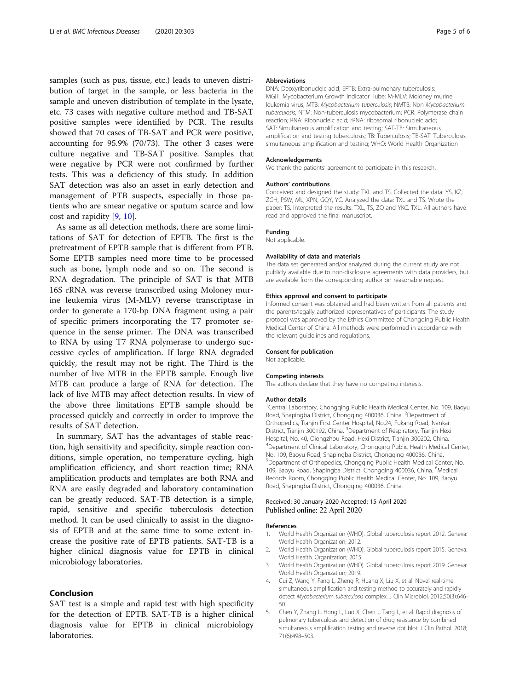<span id="page-4-0"></span>samples (such as pus, tissue, etc.) leads to uneven distribution of target in the sample, or less bacteria in the sample and uneven distribution of template in the lysate, etc. 73 cases with negative culture method and TB-SAT positive samples were identified by PCR. The results showed that 70 cases of TB-SAT and PCR were positive, accounting for 95.9% (70/73). The other 3 cases were culture negative and TB-SAT positive. Samples that were negative by PCR were not confirmed by further tests. This was a deficiency of this study. In addition SAT detection was also an asset in early detection and management of PTB suspects, especially in those patients who are smear negative or sputum scarce and low cost and rapidity [\[9](#page-5-0), [10](#page-5-0)].

As same as all detection methods, there are some limitations of SAT for detection of EPTB. The first is the pretreatment of EPTB sample that is different from PTB. Some EPTB samples need more time to be processed such as bone, lymph node and so on. The second is RNA degradation. The principle of SAT is that MTB 16S rRNA was reverse transcribed using Moloney murine leukemia virus (M-MLV) reverse transcriptase in order to generate a 170-bp DNA fragment using a pair of specific primers incorporating the T7 promoter sequence in the sense primer. The DNA was transcribed to RNA by using T7 RNA polymerase to undergo successive cycles of amplification. If large RNA degraded quickly, the result may not be right. The Third is the number of live MTB in the EPTB sample. Enough live MTB can produce a large of RNA for detection. The lack of live MTB may affect detection results. In view of the above three limitations EPTB sample should be processed quickly and correctly in order to improve the results of SAT detection.

In summary, SAT has the advantages of stable reaction, high sensitivity and specificity, simple reaction conditions, simple operation, no temperature cycling, high amplification efficiency, and short reaction time; RNA amplification products and templates are both RNA and RNA are easily degraded and laboratory contamination can be greatly reduced. SAT-TB detection is a simple, rapid, sensitive and specific tuberculosis detection method. It can be used clinically to assist in the diagnosis of EPTB and at the same time to some extent increase the positive rate of EPTB patients. SAT-TB is a higher clinical diagnosis value for EPTB in clinical microbiology laboratories.

## Conclusion

SAT test is a simple and rapid test with high specificity for the detection of EPTB. SAT-TB is a higher clinical diagnosis value for EPTB in clinical microbiology laboratories.

#### Abbreviations

DNA: Deoxyribonucleic acid; EPTB: Extra-pulmonary tuberculosis; MGIT: Mycobacterium Growth Indicator Tube; M-MLV: Moloney murine leukemia virus; MTB: Mycobacterium tuberculosis; NMTB: Non Mycobacterium tuberculosis; NTM: Non-tuberculosis mycobacterium; PCR: Polymerase chain reaction; RNA: Ribonucleic acid; rRNA: ribosomal ribonucleic acid; SAT: Simultaneous amplification and testing; SAT-TB: Simultaneous amplification and testing tuberculosis; TB: Tuberculosis; TB-SAT: Tuberculosis simultaneous amplification and testing; WHO: World Health Organization

#### Acknowledgements

We thank the patients' agreement to participate in this research.

#### Authors' contributions

Conceived and designed the study: TXL and TS. Collected the data: YS, KZ, ZGH, PSW, ML, XPN, GQY, YC. Analyzed the data: TXL and TS. Wrote the paper: TS. Interpreted the results: TXL, TS, ZQ and YKC. TXL. All authors have read and approved the final manuscript.

#### Funding

Not applicable.

#### Availability of data and materials

The data set generated and/or analyzed during the current study are not publicly available due to non-disclosure agreements with data providers, but are available from the corresponding author on reasonable request.

#### Ethics approval and consent to participate

Informed consent was obtained and had been written from all patients and the parents/legally authorized representatives of participants. The study protocol was approved by the Ethics Committee of Chongqing Public Health Medical Center of China. All methods were performed in accordance with the relevant guidelines and regulations.

#### Consent for publication

Not applicable.

#### Competing interests

The authors declare that they have no competing interests.

#### Author details

<sup>1</sup>Central Laboratory, Chongqing Public Health Medical Center, No. 109, Baoyu Road, Shapingba District, Chongqing 400036, China. <sup>2</sup>Department of Orthopedics, Tianjin First Center Hospital, No.24, Fukang Road, Nankai District, Tianjin 300192, China. <sup>3</sup>Department of Respiratory, Tianjin Hexi Hospital, No. 40, Qiongzhou Road, Hexi District, Tianjin 300202, China. 4 Department of Clinical Laboratory, Chongqing Public Health Medical Center, No. 109, Baoyu Road, Shapingba District, Chongqing 400036, China. 5 Department of Orthopedics, Chongqing Public Health Medical Center, No. 109, Baoyu Road, Shapingba District, Chongqing 400036, China. <sup>6</sup>Medical Records Room, Chongqing Public Health Medical Center, No. 109, Baoyu Road, Shapingba District, Chongqing 400036, China.

## Received: 30 January 2020 Accepted: 15 April 2020 Published online: 22 April 2020

#### References

- 1. World Health Organization (WHO). Global tuberculosis report 2012. Geneva: World Health Organization; 2012.
- 2. World Health Organization (WHO). Global tuberculosis report 2015. Geneva: World Health. Organization; 2015.
- 3. World Health Organization (WHO). Global tuberculosis report 2019. Geneva: World Health Organization; 2019.
- 4. Cui Z, Wang Y, Fang L, Zheng R, Huang X, Liu X, et al. Novel real-time simultaneous amplification and testing method to accurately and rapidly detect Mycobacterium tuberculosis complex. J Clin Microbiol. 2012;50(3):646– 50.
- 5. Chen Y, Zhang L, Hong L, Luo X, Chen J, Tang L, et al. Rapid diagnosis of pulmonary tuberculosis and detection of drug resistance by combined simultaneous amplification testing and reverse dot blot. J Clin Pathol. 2018; 71(6):498–503.